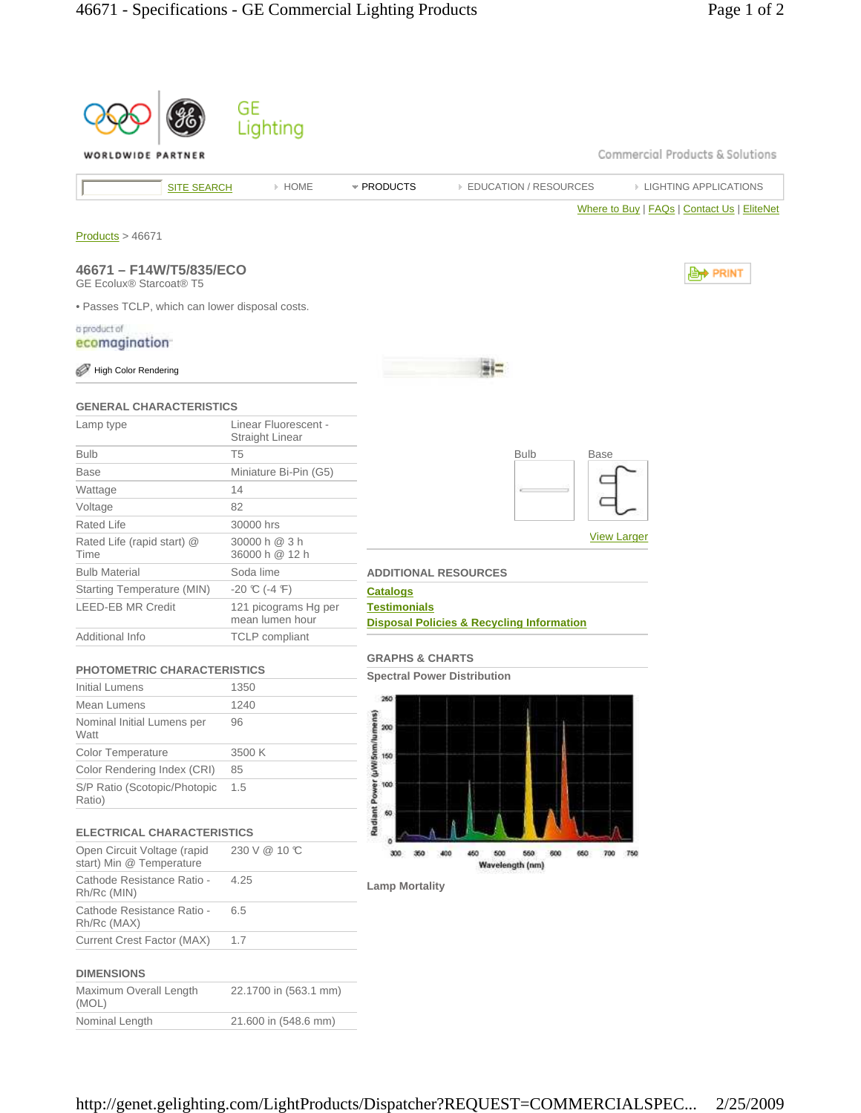|                                                                                              | GE<br>Lighting                                 |                                                                                       |
|----------------------------------------------------------------------------------------------|------------------------------------------------|---------------------------------------------------------------------------------------|
| WORLDWIDE PARTNER                                                                            |                                                | Commercial Products & Solutions                                                       |
| <b>SITE SEARCH</b>                                                                           | » HOME                                         | * PRODUCTS<br><b>EDUCATION / RESOURCES</b><br><b>EIGHTING APPLICATIONS</b>            |
| Products > 46671                                                                             |                                                | Where to Buy   FAQs   Contact Us   EliteNet                                           |
| 46671 - F14W/T5/835/ECO<br><b>GE Ecolux® Starcoat® T5</b>                                    |                                                | , PRINT                                                                               |
| . Passes TCLP, which can lower disposal costs.<br>a product of<br>ecomagination <sup>-</sup> |                                                |                                                                                       |
| <b>High Color Rendering</b>                                                                  |                                                |                                                                                       |
| <b>GENERAL CHARACTERISTICS</b>                                                               |                                                |                                                                                       |
| Lamp type                                                                                    | Linear Fluorescent -<br><b>Straight Linear</b> |                                                                                       |
| <b>Bulb</b>                                                                                  | T <sub>5</sub>                                 | <b>Bulb</b><br><b>Base</b>                                                            |
| <b>Base</b>                                                                                  | Miniature Bi-Pin (G5)                          |                                                                                       |
| Wattage                                                                                      | 14                                             |                                                                                       |
| Voltage                                                                                      | 82                                             |                                                                                       |
| Rated Life                                                                                   | 30000 hrs                                      |                                                                                       |
| Rated Life (rapid start) @<br>Time                                                           | 30000 h @ 3 h<br>36000 h @ 12 h                | <b>View Larger</b>                                                                    |
| <b>Bulb Material</b>                                                                         | Soda lime                                      | <b>ADDITIONAL RESOURCES</b>                                                           |
| Starting Temperature (MIN)                                                                   | $-20$ °C (-4 °F)                               | <b>Catalogs</b>                                                                       |
| <b>LEED-EB MR Credit</b>                                                                     | 121 picograms Hg per<br>mean lumen hour        | <b>Testimonials</b><br><b>Disposal Policies &amp; Recycling Information</b>           |
| Additional Info                                                                              | <b>TCLP</b> compliant                          |                                                                                       |
| <b>PHOTOMETRIC CHARACTERISTICS</b>                                                           |                                                | <b>GRAPHS &amp; CHARTS</b>                                                            |
| Initial Lumens                                                                               | 1350                                           | <b>Spectral Power Distribution</b>                                                    |
| Mean Lumens                                                                                  | 1240                                           | 260                                                                                   |
| Nominal Initial Lumens per<br>Watt                                                           | 96                                             | 200                                                                                   |
| Color Temperature                                                                            | 3500 K                                         | 150                                                                                   |
| Color Rendering Index (CRI)                                                                  | 85                                             |                                                                                       |
| S/P Ratio (Scotopic/Photopic<br>Ratio)                                                       | 1.5                                            | Radiant Power (µW/5nm/lumens)<br>100<br>60                                            |
| <b>ELECTRICAL CHARACTERISTICS</b>                                                            |                                                |                                                                                       |
| Open Circuit Voltage (rapid<br>start) Min @ Temperature                                      | 230 V @ 10 °C                                  | 450<br>500<br>560<br>600<br>300<br>350<br>400<br>660<br>750<br>700<br>Wavelength (nm) |
| Cathode Resistance Ratio -<br>Rh/Rc (MIN)                                                    | 4.25                                           | <b>Lamp Mortality</b>                                                                 |
| Cathode Resistance Ratio -<br>Rh/Rc (MAX)                                                    | 6.5                                            |                                                                                       |
| Current Crest Factor (MAX)                                                                   | 1.7                                            |                                                                                       |
| <b>DIMENSIONS</b>                                                                            |                                                |                                                                                       |
| Maximum Overall Length<br>(MOL)                                                              | 22.1700 in (563.1 mm)                          |                                                                                       |
| Nominal Length                                                                               | 21.600 in (548.6 mm)                           |                                                                                       |
|                                                                                              |                                                |                                                                                       |